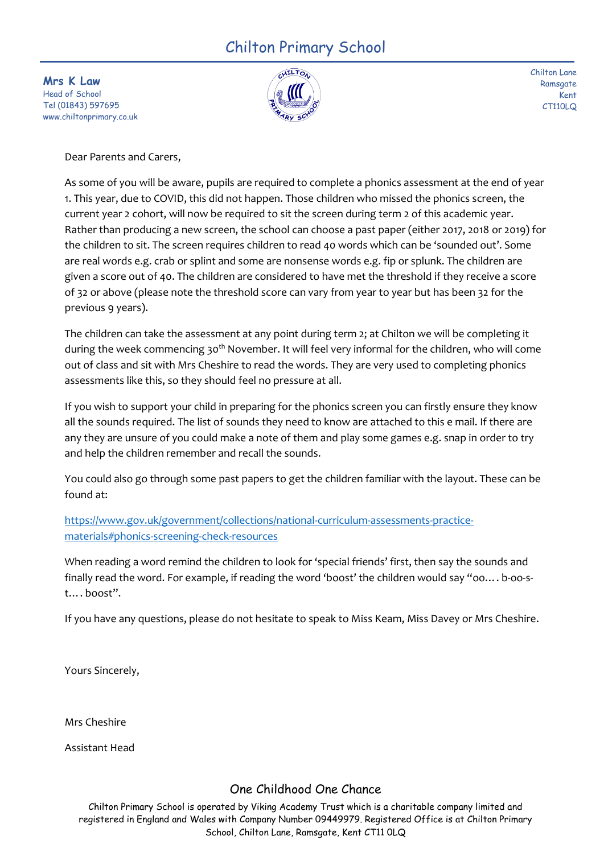## Chilton Primary School

**Mrs K Law** Head of School Tel (01843) 597695 www.chiltonprimary.co.uk



Chilton Lane **Ramsgate** Kent CT110LQ

Dear Parents and Carers,

As some of you will be aware, pupils are required to complete a phonics assessment at the end of year 1. This year, due to COVID, this did not happen. Those children who missed the phonics screen, the current year 2 cohort, will now be required to sit the screen during term 2 of this academic year. Rather than producing a new screen, the school can choose a past paper (either 2017, 2018 or 2019) for the children to sit. The screen requires children to read 40 words which can be 'sounded out'. Some are real words e.g. crab or splint and some are nonsense words e.g. fip or splunk. The children are given a score out of 40. The children are considered to have met the threshold if they receive a score of 32 or above (please note the threshold score can vary from year to year but has been 32 for the previous 9 years).

The children can take the assessment at any point during term 2; at Chilton we will be completing it during the week commencing 30<sup>th</sup> November. It will feel very informal for the children, who will come out of class and sit with Mrs Cheshire to read the words. They are very used to completing phonics assessments like this, so they should feel no pressure at all.

If you wish to support your child in preparing for the phonics screen you can firstly ensure they know all the sounds required. The list of sounds they need to know are attached to this e mail. If there are any they are unsure of you could make a note of them and play some games e.g. snap in order to try and help the children remember and recall the sounds.

You could also go through some past papers to get the children familiar with the layout. These can be found at:

[https://www.gov.uk/government/collections/national-curriculum-assessments-practice](https://www.gov.uk/government/collections/national-curriculum-assessments-practice-materials#phonics-screening-check-resources)[materials#phonics-screening-check-resources](https://www.gov.uk/government/collections/national-curriculum-assessments-practice-materials#phonics-screening-check-resources)

When reading a word remind the children to look for 'special friends' first, then say the sounds and finally read the word. For example, if reading the word 'boost' the children would say "oo…. b-oo-st…. boost".

If you have any questions, please do not hesitate to speak to Miss Keam, Miss Davey or Mrs Cheshire.

Yours Sincerely,

Mrs Cheshire

Assistant Head

## One Childhood One Chance

Chilton Primary School is operated by Viking Academy Trust which is a charitable company limited and registered in England and Wales with Company Number 09449979. Registered Office is at Chilton Primary School, Chilton Lane, Ramsgate, Kent CT11 0LQ